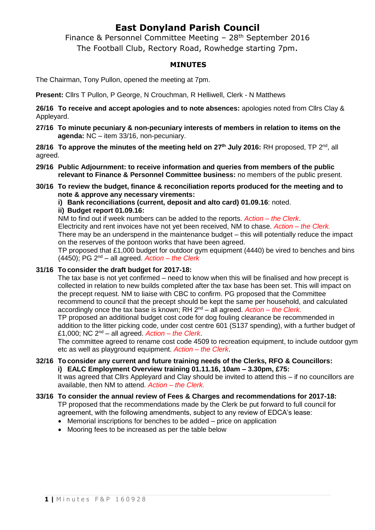## **East Donyland Parish Council**

Finance & Personnel Committee Meeting - 28<sup>th</sup> September 2016 The Football Club, Rectory Road, Rowhedge starting 7pm.

### **MINUTES**

The Chairman, Tony Pullon, opened the meeting at 7pm.

**Present:** Cllrs T Pullon, P George, N Crouchman, R Helliwell, Clerk - N Matthews

**26/16 To receive and accept apologies and to note absences:** apologies noted from Cllrs Clay & Appleyard.

**27/16 To minute pecuniary & non-pecuniary interests of members in relation to items on the agenda:** NC – item 33/16, non-pecuniary.

**28/16 To approve the minutes of the meeting held on 27th July 2016:** RH proposed, TP 2 nd, all agreed.

- **29/16 Public Adjournment: to receive information and queries from members of the public relevant to Finance & Personnel Committee business:** no members of the public present.
- **30/16 To review the budget, finance & reconciliation reports produced for the meeting and to note & approve any necessary virements:**

**i) Bank reconciliations (current, deposit and alto card) 01.09.16**: noted.

### **ii) Budget report 01.09.16:**

NM to find out if week numbers can be added to the reports. *Action – the Clerk*.

Electricity and rent invoices have not yet been received, NM to chase. *Action – the Clerk.*

There may be an underspend in the maintenance budget – this will potentially reduce the impact on the reserves of the pontoon works that have been agreed.

TP proposed that £1,000 budget for outdoor gym equipment (4440) be vired to benches and bins (4450); PG 2nd – all agreed. *Action – the Clerk*

#### **31/16 To consider the draft budget for 2017-18:**

The tax base is not yet confirmed – need to know when this will be finalised and how precept is collected in relation to new builds completed after the tax base has been set. This will impact on the precept request. NM to liaise with CBC to confirm. PG proposed that the Committee recommend to council that the precept should be kept the same per household, and calculated accordingly once the tax base is known; RH 2nd – all agreed. *Action – the Clerk.*

TP proposed an additional budget cost code for dog fouling clearance be recommended in addition to the litter picking code, under cost centre 601 (S137 spending), with a further budget of £1,000; NC 2nd – all agreed. *Action – the Clerk*.

The committee agreed to rename cost code 4509 to recreation equipment, to include outdoor gym etc as well as playground equipment. *Action – the Clerk*.

#### **32/16 To consider any current and future training needs of the Clerks, RFO & Councillors: i) EALC Employment Overview training 01.11.16, 10am – 3.30pm, £75:**

It was agreed that Cllrs Appleyard and Clay should be invited to attend this – if no councillors are available, then NM to attend. *Action – the Clerk.*

- **33/16 To consider the annual review of Fees & Charges and recommendations for 2017-18:** TP proposed that the recommendations made by the Clerk be put forward to full council for agreement, with the following amendments, subject to any review of EDCA's lease:
	- Memorial inscriptions for benches to be added price on application
	- Mooring fees to be increased as per the table below